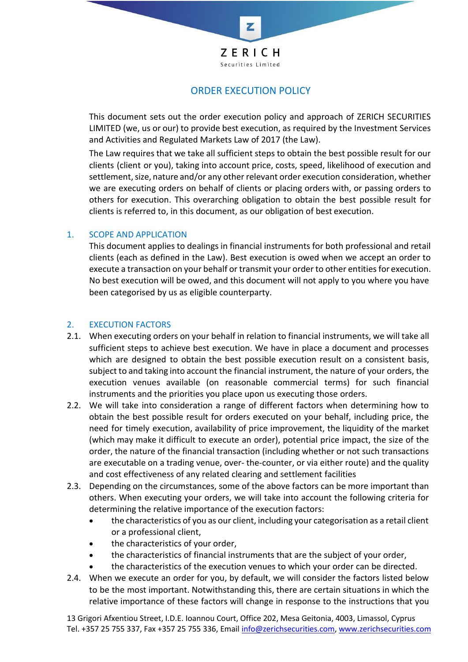

# ORDER EXECUTION POLICY

This document sets out the order execution policy and approach of ZERICH SECURITIES LIMITED (we, us or our) to provide best execution, as required by the Investment Services and Activities and Regulated Markets Law of 2017 (the Law).

The Law requires that we take all sufficient steps to obtain the best possible result for our clients (client or you), taking into account price, costs, speed, likelihood of execution and settlement, size, nature and/or any other relevant order execution consideration, whether we are executing orders on behalf of clients or placing orders with, or passing orders to others for execution. This overarching obligation to obtain the best possible result for clients is referred to, in this document, as our obligation of best execution.

# 1. SCOPE AND APPLICATION

This document applies to dealings in financial instruments for both professional and retail clients (each as defined in the Law). Best execution is owed when we accept an order to execute a transaction on your behalf or transmit your order to other entities for execution. No best execution will be owed, and this document will not apply to you where you have been categorised by us as eligible counterparty.

# 2. EXECUTION FACTORS

- 2.1. When executing orders on your behalf in relation to financial instruments, we will take all sufficient steps to achieve best execution. We have in place a document and processes which are designed to obtain the best possible execution result on a consistent basis, subject to and taking into account the financial instrument, the nature of your orders, the execution venues available (on reasonable commercial terms) for such financial instruments and the priorities you place upon us executing those orders.
- 2.2. We will take into consideration a range of different factors when determining how to obtain the best possible result for orders executed on your behalf, including price, the need for timely execution, availability of price improvement, the liquidity of the market (which may make it difficult to execute an order), potential price impact, the size of the order, the nature of the financial transaction (including whether or not such transactions are executable on a trading venue, over- the-counter, or via either route) and the quality and cost effectiveness of any related clearing and settlement facilities
- 2.3. Depending on the circumstances, some of the above factors can be more important than others. When executing your orders, we will take into account the following criteria for determining the relative importance of the execution factors:
	- the characteristics of you as our client, including your categorisation as a retail client or a professional client,
	- the characteristics of your order,
	- the characteristics of financial instruments that are the subject of your order,
	- the characteristics of the execution venues to which your order can be directed.
- 2.4. When we execute an order for you, by default, we will consider the factors listed below to be the most important. Notwithstanding this, there are certain situations in which the relative importance of these factors will change in response to the instructions that you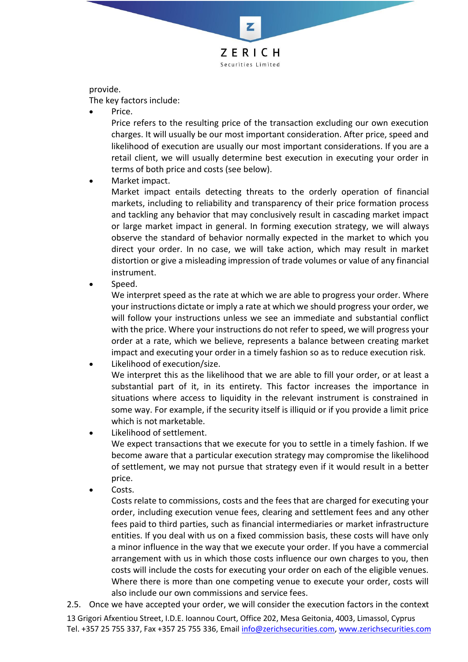

provide.

The key factors include:

Price.

Price refers to the resulting price of the transaction excluding our own execution charges. It will usually be our most important consideration. After price, speed and likelihood of execution are usually our most important considerations. If you are a retail client, we will usually determine best execution in executing your order in terms of both price and costs (see below).

Market impact.

Market impact entails detecting threats to the orderly operation of financial markets, including to reliability and transparency of their price formation process and tackling any behavior that may conclusively result in cascading market impact or large market impact in general. In forming execution strategy, we will always observe the standard of behavior normally expected in the market to which you direct your order. In no case, we will take action, which may result in market distortion or give a misleading impression of trade volumes or value of any financial instrument.

Speed.

We interpret speed as the rate at which we are able to progress your order. Where your instructions dictate or imply a rate at which we should progress your order, we will follow your instructions unless we see an immediate and substantial conflict with the price. Where your instructions do not refer to speed, we will progress your order at a rate, which we believe, represents a balance between creating market impact and executing your order in a timely fashion so as to reduce execution risk.

• Likelihood of execution/size.

We interpret this as the likelihood that we are able to fill your order, or at least a substantial part of it, in its entirety. This factor increases the importance in situations where access to liquidity in the relevant instrument is constrained in some way. For example, if the security itself is illiquid or if you provide a limit price which is not marketable.

Likelihood of settlement.

We expect transactions that we execute for you to settle in a timely fashion. If we become aware that a particular execution strategy may compromise the likelihood of settlement, we may not pursue that strategy even if it would result in a better price.

Costs.

Costs relate to commissions, costs and the fees that are charged for executing your order, including execution venue fees, clearing and settlement fees and any other fees paid to third parties, such as financial intermediaries or market infrastructure entities. If you deal with us on a fixed commission basis, these costs will have only a minor influence in the way that we execute your order. If you have a commercial arrangement with us in which those costs influence our own charges to you, then costs will include the costs for executing your order on each of the eligible venues. Where there is more than one competing venue to execute your order, costs will also include our own commissions and service fees.

2.5. Once we have accepted your order, we will consider the execution factors in the context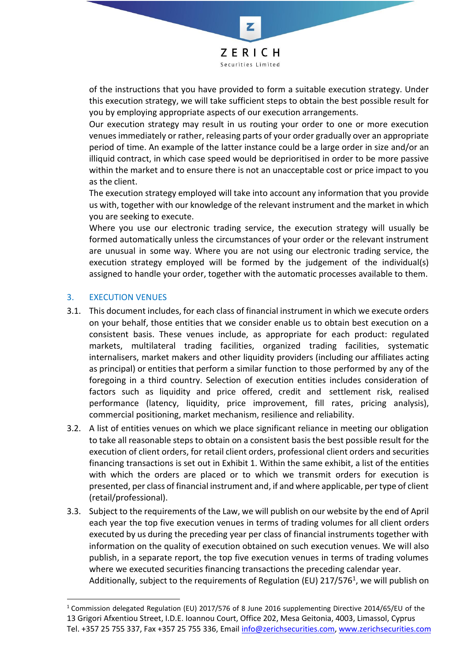

Z

of the instructions that you have provided to form a suitable execution strategy. Under this execution strategy, we will take sufficient steps to obtain the best possible result for you by employing appropriate aspects of our execution arrangements.

Our execution strategy may result in us routing your order to one or more execution venues immediately or rather, releasing parts of your order gradually over an appropriate period of time. An example of the latter instance could be a large order in size and/or an illiquid contract, in which case speed would be deprioritised in order to be more passive within the market and to ensure there is not an unacceptable cost or price impact to you as the client.

The execution strategy employed will take into account any information that you provide us with, together with our knowledge of the relevant instrument and the market in which you are seeking to execute.

Where you use our electronic trading service, the execution strategy will usually be formed automatically unless the circumstances of your order or the relevant instrument are unusual in some way. Where you are not using our electronic trading service, the execution strategy employed will be formed by the judgement of the individual(s) assigned to handle your order, together with the automatic processes available to them.

# 3. EXECUTION VENUES

- 3.1. This document includes, for each class of financial instrument in which we execute orders on your behalf, those entities that we consider enable us to obtain best execution on a consistent basis. These venues include, as appropriate for each product: regulated markets, multilateral trading facilities, organized trading facilities, systematic internalisers, market makers and other liquidity providers (including our affiliates acting as principal) or entities that perform a similar function to those performed by any of the foregoing in a third country. Selection of execution entities includes consideration of factors such as liquidity and price offered, credit and settlement risk, realised performance (latency, liquidity, price improvement, fill rates, pricing analysis), commercial positioning, market mechanism, resilience and reliability.
- 3.2. A list of entities venues on which we place significant reliance in meeting our obligation to take all reasonable steps to obtain on a consistent basis the best possible result for the execution of client orders, for retail client orders, professional client orders and securities financing transactions is set out in Exhibit 1. Within the same exhibit, a list of the entities with which the orders are placed or to which we transmit orders for execution is presented, per class of financial instrument and, if and where applicable, per type of client (retail/professional).
- 3.3. Subject to the requirements of the Law, we will publish on our website by the end of April each year the top five execution venues in terms of trading volumes for all client orders executed by us during the preceding year per class of financial instruments together with information on the quality of execution obtained on such execution venues. We will also publish, in a separate report, the top five execution venues in terms of trading volumes where we executed securities financing transactions the preceding calendar year. Additionally, subject to the requirements of Regulation (EU) 217/576<sup>1</sup>, we will publish on

<sup>13</sup> Grigori Afxentiou Street, I.D.E. Ioannou Court, Office 202, Mesa Geitonia, 4003, Limassol, Cyprus Tel. +357 25 755 337, Fax +357 25 755 336, Email [info@zerichsecurities.com,](mailto:info@zerichsecurities.com) [www.zerichsecurities.com](http://www.zerichsecurities.com/) <sup>1</sup> Commission delegated Regulation (EU) 2017/576 of 8 June 2016 supplementing Directive 2014/65/EU of the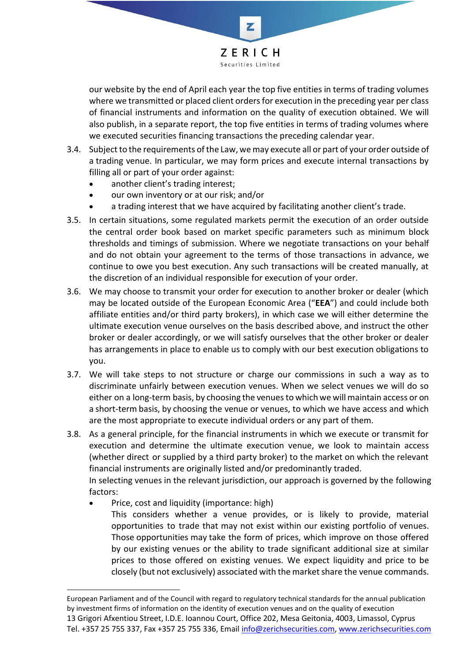

our website by the end of April each year the top five entities in terms of trading volumes where we transmitted or placed client orders for execution in the preceding year per class of financial instruments and information on the quality of execution obtained. We will also publish, in a separate report, the top five entities in terms of trading volumes where we executed securities financing transactions the preceding calendar year.

- 3.4. Subject to the requirements of the Law, we may execute all or part of your order outside of a trading venue. In particular, we may form prices and execute internal transactions by filling all or part of your order against:
	- another client's trading interest;
	- our own inventory or at our risk; and/or
	- a trading interest that we have acquired by facilitating another client's trade.
- 3.5. In certain situations, some regulated markets permit the execution of an order outside the central order book based on market specific parameters such as minimum block thresholds and timings of submission. Where we negotiate transactions on your behalf and do not obtain your agreement to the terms of those transactions in advance, we continue to owe you best execution. Any such transactions will be created manually, at the discretion of an individual responsible for execution of your order.
- 3.6. We may choose to transmit your order for execution to another broker or dealer (which may be located outside of the European Economic Area ("**EEA**") and could include both affiliate entities and/or third party brokers), in which case we will either determine the ultimate execution venue ourselves on the basis described above, and instruct the other broker or dealer accordingly, or we will satisfy ourselves that the other broker or dealer has arrangements in place to enable us to comply with our best execution obligations to you.
- 3.7. We will take steps to not structure or charge our commissions in such a way as to discriminate unfairly between execution venues. When we select venues we will do so either on a long-term basis, by choosing the venues to which we will maintain access or on a short-term basis, by choosing the venue or venues, to which we have access and which are the most appropriate to execute individual orders or any part of them.
- 3.8. As a general principle, for the financial instruments in which we execute or transmit for execution and determine the ultimate execution venue, we look to maintain access (whether direct or supplied by a third party broker) to the market on which the relevant financial instruments are originally listed and/or predominantly traded.

In selecting venues in the relevant jurisdiction, our approach is governed by the following factors:

• Price, cost and liquidity (importance: high) This considers whether a venue provides, or is likely to provide, material opportunities to trade that may not exist within our existing portfolio of venues. Those opportunities may take the form of prices, which improve on those offered by our existing venues or the ability to trade significant additional size at similar prices to those offered on existing venues. We expect liquidity and price to be closely (but not exclusively) associated with the market share the venue commands.

<sup>13</sup> Grigori Afxentiou Street, I.D.E. Ioannou Court, Office 202, Mesa Geitonia, 4003, Limassol, Cyprus Tel. +357 25 755 337, Fax +357 25 755 336, Email [info@zerichsecurities.com,](mailto:info@zerichsecurities.com) [www.zerichsecurities.com](http://www.zerichsecurities.com/) European Parliament and of the Council with regard to regulatory technical standards for the annual publication by investment firms of information on the identity of execution venues and on the quality of execution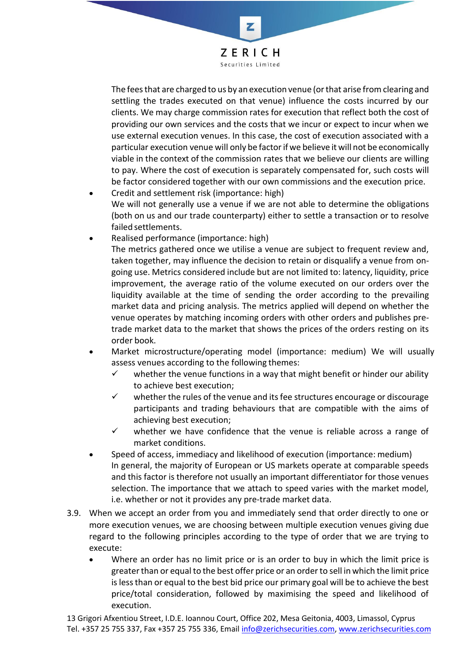

Z

The feesthat are charged to us by an execution venue (orthat arise from clearing and settling the trades executed on that venue) influence the costs incurred by our clients. We may charge commission rates for execution that reflect both the cost of providing our own services and the costs that we incur or expect to incur when we use external execution venues. In this case, the cost of execution associated with a particular execution venue will only be factorif we believe it will not be economically viable in the context of the commission rates that we believe our clients are willing to pay. Where the cost of execution is separately compensated for, such costs will be factor considered together with our own commissions and the execution price.

- Credit and settlement risk (importance: high) We will not generally use a venue if we are not able to determine the obligations (both on us and our trade counterparty) either to settle a transaction or to resolve failed settlements.
- Realised performance (importance: high) The metrics gathered once we utilise a venue are subject to frequent review and, taken together, may influence the decision to retain or disqualify a venue from on‐ going use. Metrics considered include but are not limited to: latency, liquidity, price improvement, the average ratio of the volume executed on our orders over the liquidity available at the time of sending the order according to the prevailing market data and pricing analysis. The metrics applied will depend on whether the venue operates by matching incoming orders with other orders and publishes pre‐ trade market data to the market that shows the prices of the orders resting on its order book.
- Market microstructure/operating model (importance: medium) We will usually assess venues according to the following themes:
	- $\checkmark$  whether the venue functions in a way that might benefit or hinder our ability to achieve best execution;
	- ✓ whether the rules of the venue and its fee structures encourage or discourage participants and trading behaviours that are compatible with the aims of achieving best execution;
	- $\checkmark$  whether we have confidence that the venue is reliable across a range of market conditions.
- Speed of access, immediacy and likelihood of execution (importance: medium) In general, the majority of European or US markets operate at comparable speeds and this factor is therefore not usually an important differentiator for those venues selection. The importance that we attach to speed varies with the market model, i.e. whether or not it provides any pre‐trade market data.
- 3.9. When we accept an order from you and immediately send that order directly to one or more execution venues, we are choosing between multiple execution venues giving due regard to the following principles according to the type of order that we are trying to execute:
	- Where an order has no limit price or is an order to buy in which the limit price is greater than or equal to the best offer price or an order to sell in which the limit price islessthan or equal to the best bid price our primary goal will be to achieve the best price/total consideration, followed by maximising the speed and likelihood of execution.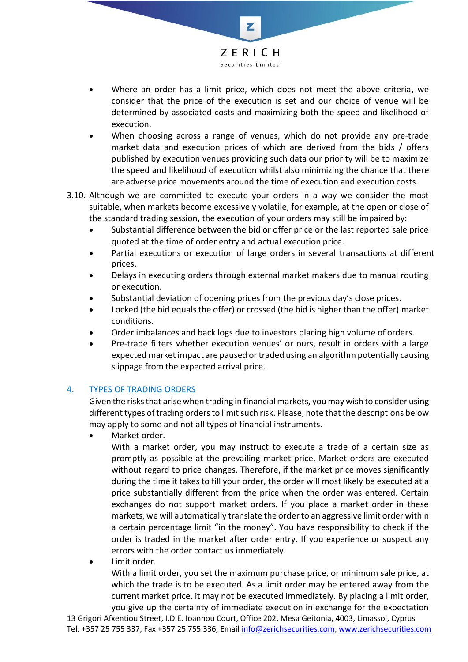

- Where an order has a limit price, which does not meet the above criteria, we consider that the price of the execution is set and our choice of venue will be determined by associated costs and maximizing both the speed and likelihood of execution.
- When choosing across a range of venues, which do not provide any pre-trade market data and execution prices of which are derived from the bids / offers published by execution venues providing such data our priority will be to maximize the speed and likelihood of execution whilst also minimizing the chance that there are adverse price movements around the time of execution and execution costs.
- 3.10. Although we are committed to execute your orders in a way we consider the most suitable, when markets become excessively volatile, for example, at the open or close of the standard trading session, the execution of your orders may still be impaired by:
	- Substantial difference between the bid or offer price or the last reported sale price quoted at the time of order entry and actual execution price.
	- Partial executions or execution of large orders in several transactions at different prices.
	- Delays in executing orders through external market makers due to manual routing or execution.
	- Substantial deviation of opening prices from the previous day's close prices.
	- Locked (the bid equals the offer) or crossed (the bid is higher than the offer) market conditions.
	- Order imbalances and back logs due to investors placing high volume of orders.
	- Pre-trade filters whether execution venues' or ours, result in orders with a large expected market impact are paused ortraded using an algorithm potentially causing slippage from the expected arrival price.

# 4. TYPES OF TRADING ORDERS

Given the risksthat arise when trading in financial markets, youmay wish to consider using different types of trading orders to limit such risk. Please, note that the descriptions below may apply to some and not all types of financial instruments.

Market order.

With a market order, you may instruct to execute a trade of a certain size as promptly as possible at the prevailing market price. Market orders are executed without regard to price changes. Therefore, if the market price moves significantly during the time it takes to fill your order, the order will most likely be executed at a price substantially different from the price when the order was entered. Certain exchanges do not support market orders. If you place a market order in these markets, we will automatically translate the order to an aggressive limit order within a certain percentage limit "in the money". You have responsibility to check if the order is traded in the market after order entry. If you experience or suspect any errors with the order contact us immediately.

• Limit order.

With a limit order, you set the maximum purchase price, or minimum sale price, at which the trade is to be executed. As a limit order may be entered away from the current market price, it may not be executed immediately. By placing a limit order, you give up the certainty of immediate execution in exchange for the expectation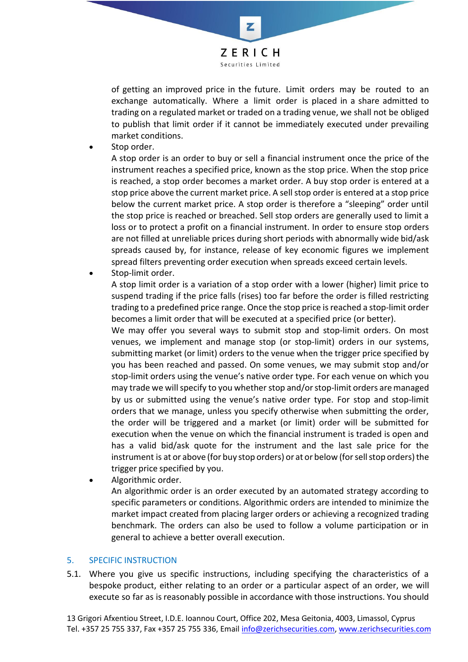

of getting an improved price in the future. Limit orders may be routed to an exchange automatically. Where a limit order is placed in a share admitted to trading on a regulated market or traded on a trading venue, we shall not be obliged to publish that limit order if it cannot be immediately executed under prevailing market conditions.

Stop order.

A stop order is an order to buy or sell a financial instrument once the price of the instrument reaches a specified price, known as the stop price. When the stop price is reached, a stop order becomes a market order. A buy stop order is entered at a stop price above the current market price. A sell stop order is entered at a stop price below the current market price. A stop order is therefore a "sleeping" order until the stop price is reached or breached. Sell stop orders are generally used to limit a loss or to protect a profit on a financial instrument. In order to ensure stop orders are not filled at unreliable prices during short periods with abnormally wide bid/ask spreads caused by, for instance, release of key economic figures we implement spread filters preventing order execution when spreads exceed certain levels.

Stop-limit order.

A stop limit order is a variation of a stop order with a lower (higher) limit price to suspend trading if the price falls (rises) too far before the order is filled restricting trading to a predefined price range. Once the stop price is reached a stop‐limit order becomes a limit order that will be executed at a specified price (or better).

We may offer you several ways to submit stop and stop-limit orders. On most venues, we implement and manage stop (or stop‐limit) orders in our systems, submitting market (or limit) orders to the venue when the trigger price specified by you has been reached and passed. On some venues, we may submit stop and/or stop-limit orders using the venue's native order type. For each venue on which you may trade we will specify to you whether stop and/orstop‐limit orders aremanaged by us or submitted using the venue's native order type. For stop and stop‐limit orders that we manage, unless you specify otherwise when submitting the order, the order will be triggered and a market (or limit) order will be submitted for execution when the venue on which the financial instrument is traded is open and has a valid bid/ask quote for the instrument and the last sale price for the instrument is at or above (for buy stop orders) or at or below (for sell stop orders) the trigger price specified by you.

Algorithmic order. An algorithmic order is an order executed by an automated strategy according to specific parameters or conditions. Algorithmic orders are intended to minimize the market impact created from placing larger orders or achieving a recognized trading benchmark. The orders can also be used to follow a volume participation or in general to achieve a better overall execution.

#### 5. SPECIFIC INSTRUCTION

5.1. Where you give us specific instructions, including specifying the characteristics of a bespoke product, either relating to an order or a particular aspect of an order, we will execute so far as is reasonably possible in accordance with those instructions. You should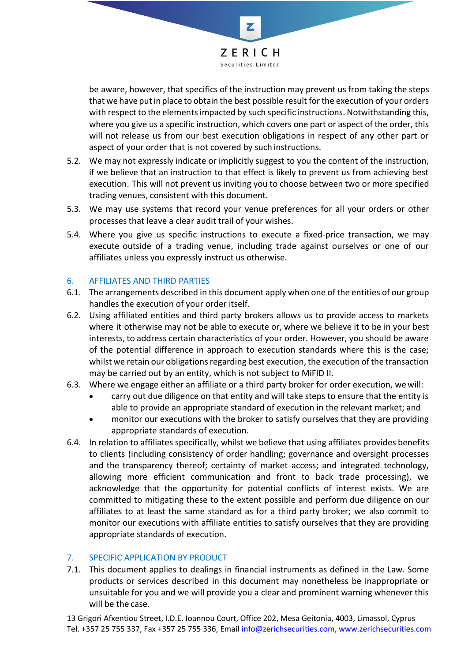

be aware, however, that specifics of the instruction may prevent us from taking the steps that we have putin place to obtain the best possible result for the execution of your orders with respect to the elements impacted by such specific instructions. Notwithstanding this, where you give us a specific instruction, which covers one part or aspect of the order, this will not release us from our best execution obligations in respect of any other part or aspect of your order that is not covered by such instructions.

- 5.2. We may not expressly indicate or implicitly suggest to you the content of the instruction, if we believe that an instruction to that effect is likely to prevent us from achieving best execution. This will not prevent us inviting you to choose between two or more specified trading venues, consistent with this document.
- 5.3. We may use systems that record your venue preferences for all your orders or other processesthat leave a clear audit trail of your wishes.
- 5.4. Where you give us specific instructions to execute a fixed-price transaction, we may execute outside of a trading venue, including trade against ourselves or one of our affiliates unless you expressly instruct us otherwise.

# 6. AFFILIATES AND THIRD PARTIES

- 6.1. The arrangements described in this document apply when one of the entities of our group handles the execution of your order itself.
- 6.2. Using affiliated entities and third party brokers allows us to provide access to markets where it otherwise may not be able to execute or, where we believe it to be in your best interests, to address certain characteristics of your order. However, you should be aware of the potential difference in approach to execution standards where this is the case; whilst we retain our obligations regarding best execution, the execution of the transaction may be carried out by an entity, which is not subject to MiFID II.
- 6.3. Where we engage either an affiliate or a third party broker for order execution, wewill:
	- carry out due diligence on that entity and will take steps to ensure that the entity is able to provide an appropriate standard of execution in the relevant market; and
	- monitor our executions with the broker to satisfy ourselves that they are providing appropriate standards of execution.
- 6.4. In relation to affiliates specifically, whilst we believe that using affiliates provides benefits to clients (including consistency of order handling; governance and oversight processes and the transparency thereof; certainty of market access; and integrated technology, allowing more efficient communication and front to back trade processing), we acknowledge that the opportunity for potential conflicts of interest exists. We are committed to mitigating these to the extent possible and perform due diligence on our affiliates to at least the same standard as for a third party broker; we also commit to monitor our executions with affiliate entities to satisfy ourselves that they are providing appropriate standards of execution.

# 7. SPECIFIC APPLICATION BY PRODUCT

7.1. This document applies to dealings in financial instruments as defined in the Law. Some products or services described in this document may nonetheless be inappropriate or unsuitable for you and we will provide you a clear and prominent warning whenever this will be the case.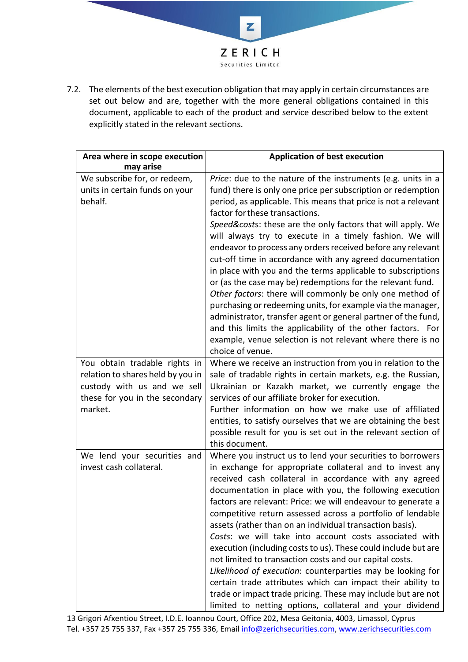

7.2. The elements of the best execution obligation that may apply in certain circumstances are set out below and are, together with the more general obligations contained in this document, applicable to each of the product and service described below to the extent explicitly stated in the relevant sections.

| Area where in scope execution<br>may arise                                                                                                     | <b>Application of best execution</b>                                                                                                                                                                                                                                                                                                                                                                                                                                                                                                                                                                                                                                                                                                                                                                                                                                                                                                                            |
|------------------------------------------------------------------------------------------------------------------------------------------------|-----------------------------------------------------------------------------------------------------------------------------------------------------------------------------------------------------------------------------------------------------------------------------------------------------------------------------------------------------------------------------------------------------------------------------------------------------------------------------------------------------------------------------------------------------------------------------------------------------------------------------------------------------------------------------------------------------------------------------------------------------------------------------------------------------------------------------------------------------------------------------------------------------------------------------------------------------------------|
| We subscribe for, or redeem,<br>units in certain funds on your<br>behalf.                                                                      | Price: due to the nature of the instruments (e.g. units in a<br>fund) there is only one price per subscription or redemption<br>period, as applicable. This means that price is not a relevant<br>factor for these transactions.<br>Speed&costs: these are the only factors that will apply. We<br>will always try to execute in a timely fashion. We will<br>endeavor to process any orders received before any relevant<br>cut-off time in accordance with any agreed documentation<br>in place with you and the terms applicable to subscriptions<br>or (as the case may be) redemptions for the relevant fund.<br>Other factors: there will commonly be only one method of<br>purchasing or redeeming units, for example via the manager,<br>administrator, transfer agent or general partner of the fund,<br>and this limits the applicability of the other factors. For<br>example, venue selection is not relevant where there is no<br>choice of venue. |
| You obtain tradable rights in<br>relation to shares held by you in<br>custody with us and we sell<br>these for you in the secondary<br>market. | Where we receive an instruction from you in relation to the<br>sale of tradable rights in certain markets, e.g. the Russian,<br>Ukrainian or Kazakh market, we currently engage the<br>services of our affiliate broker for execution.<br>Further information on how we make use of affiliated<br>entities, to satisfy ourselves that we are obtaining the best<br>possible result for you is set out in the relevant section of<br>this document.                                                                                                                                                                                                                                                                                                                                                                                                                                                                                                              |
| We lend your securities and<br>invest cash collateral.                                                                                         | Where you instruct us to lend your securities to borrowers<br>in exchange for appropriate collateral and to invest any<br>received cash collateral in accordance with any agreed<br>documentation in place with you, the following execution<br>factors are relevant: Price: we will endeavour to generate a<br>competitive return assessed across a portfolio of lendable<br>assets (rather than on an individual transaction basis).<br>Costs: we will take into account costs associated with<br>execution (including costs to us). These could include but are<br>not limited to transaction costs and our capital costs.<br>Likelihood of execution: counterparties may be looking for<br>certain trade attributes which can impact their ability to<br>trade or impact trade pricing. These may include but are not<br>limited to netting options, collateral and your dividend                                                                           |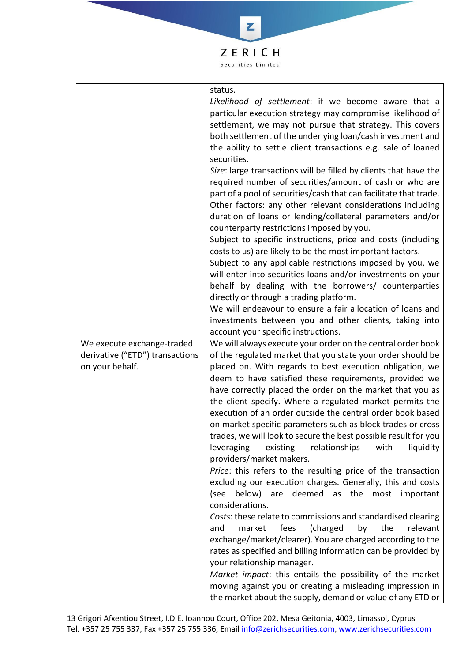

Z

| We execute exchange-traded                         | status.<br>Likelihood of settlement: if we become aware that a<br>particular execution strategy may compromise likelihood of<br>settlement, we may not pursue that strategy. This covers<br>both settlement of the underlying loan/cash investment and<br>the ability to settle client transactions e.g. sale of loaned<br>securities.<br>Size: large transactions will be filled by clients that have the<br>required number of securities/amount of cash or who are<br>part of a pool of securities/cash that can facilitate that trade.<br>Other factors: any other relevant considerations including<br>duration of loans or lending/collateral parameters and/or<br>counterparty restrictions imposed by you.<br>Subject to specific instructions, price and costs (including<br>costs to us) are likely to be the most important factors.<br>Subject to any applicable restrictions imposed by you, we<br>will enter into securities loans and/or investments on your<br>behalf by dealing with the borrowers/ counterparties<br>directly or through a trading platform.<br>We will endeavour to ensure a fair allocation of loans and<br>investments between you and other clients, taking into<br>account your specific instructions.<br>We will always execute your order on the central order book |
|----------------------------------------------------|--------------------------------------------------------------------------------------------------------------------------------------------------------------------------------------------------------------------------------------------------------------------------------------------------------------------------------------------------------------------------------------------------------------------------------------------------------------------------------------------------------------------------------------------------------------------------------------------------------------------------------------------------------------------------------------------------------------------------------------------------------------------------------------------------------------------------------------------------------------------------------------------------------------------------------------------------------------------------------------------------------------------------------------------------------------------------------------------------------------------------------------------------------------------------------------------------------------------------------------------------------------------------------------------------------------|
| derivative ("ETD") transactions<br>on your behalf. | of the regulated market that you state your order should be<br>placed on. With regards to best execution obligation, we                                                                                                                                                                                                                                                                                                                                                                                                                                                                                                                                                                                                                                                                                                                                                                                                                                                                                                                                                                                                                                                                                                                                                                                      |
|                                                    | deem to have satisfied these requirements, provided we<br>have correctly placed the order on the market that you as<br>the client specify. Where a regulated market permits the<br>execution of an order outside the central order book based<br>on market specific parameters such as block trades or cross<br>trades, we will look to secure the best possible result for you<br>leveraging<br>relationships<br>with<br>liquidity<br>existing<br>providers/market makers.                                                                                                                                                                                                                                                                                                                                                                                                                                                                                                                                                                                                                                                                                                                                                                                                                                  |
|                                                    | Price: this refers to the resulting price of the transaction<br>excluding our execution charges. Generally, this and costs<br>below)<br>deemed as the<br>(see<br>are<br>most<br>important<br>considerations.                                                                                                                                                                                                                                                                                                                                                                                                                                                                                                                                                                                                                                                                                                                                                                                                                                                                                                                                                                                                                                                                                                 |
|                                                    | Costs: these relate to commissions and standardised clearing<br>fees<br>(charged<br>by<br>the<br>relevant<br>and<br>market                                                                                                                                                                                                                                                                                                                                                                                                                                                                                                                                                                                                                                                                                                                                                                                                                                                                                                                                                                                                                                                                                                                                                                                   |
|                                                    | exchange/market/clearer). You are charged according to the<br>rates as specified and billing information can be provided by                                                                                                                                                                                                                                                                                                                                                                                                                                                                                                                                                                                                                                                                                                                                                                                                                                                                                                                                                                                                                                                                                                                                                                                  |
|                                                    | your relationship manager.<br>Market impact: this entails the possibility of the market                                                                                                                                                                                                                                                                                                                                                                                                                                                                                                                                                                                                                                                                                                                                                                                                                                                                                                                                                                                                                                                                                                                                                                                                                      |
|                                                    | moving against you or creating a misleading impression in<br>the market about the supply, demand or value of any ETD or                                                                                                                                                                                                                                                                                                                                                                                                                                                                                                                                                                                                                                                                                                                                                                                                                                                                                                                                                                                                                                                                                                                                                                                      |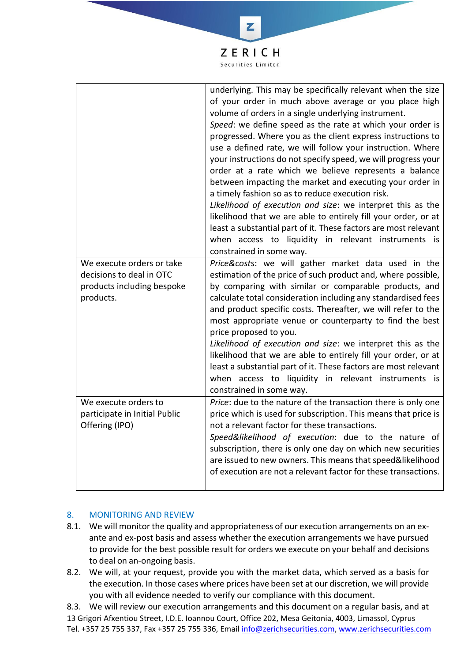

|                                                                         | price proposed to you.<br>Likelihood of execution and size: we interpret this as the<br>likelihood that we are able to entirely fill your order, or at<br>least a substantial part of it. These factors are most relevant<br>when access to liquidity in relevant instruments is<br>constrained in some way.                                                                                                                           |
|-------------------------------------------------------------------------|----------------------------------------------------------------------------------------------------------------------------------------------------------------------------------------------------------------------------------------------------------------------------------------------------------------------------------------------------------------------------------------------------------------------------------------|
| We execute orders to<br>participate in Initial Public<br>Offering (IPO) | Price: due to the nature of the transaction there is only one<br>price which is used for subscription. This means that price is<br>not a relevant factor for these transactions.<br>Speed&likelihood of execution: due to the nature of<br>subscription, there is only one day on which new securities<br>are issued to new owners. This means that speed&likelihood<br>of execution are not a relevant factor for these transactions. |

#### 8. MONITORING AND REVIEW

- 8.1. We will monitor the quality and appropriateness of our execution arrangements on an ex‐ ante and ex‐post basis and assess whether the execution arrangements we have pursued to provide for the best possible result for orders we execute on your behalf and decisions to deal on an‐ongoing basis.
- 8.2. We will, at your request, provide you with the market data, which served as a basis for the execution. In those cases where prices have been set at our discretion, we will provide you with all evidence needed to verify our compliance with this document.

13 Grigori Afxentiou Street, I.D.E. Ioannou Court, Office 202, Mesa Geitonia, 4003, Limassol, Cyprus Tel. +357 25 755 337, Fax +357 25 755 336, Email [info@zerichsecurities.com,](mailto:info@zerichsecurities.com) [www.zerichsecurities.com](http://www.zerichsecurities.com/) 8.3. We will review our execution arrangements and this document on a regular basis, and at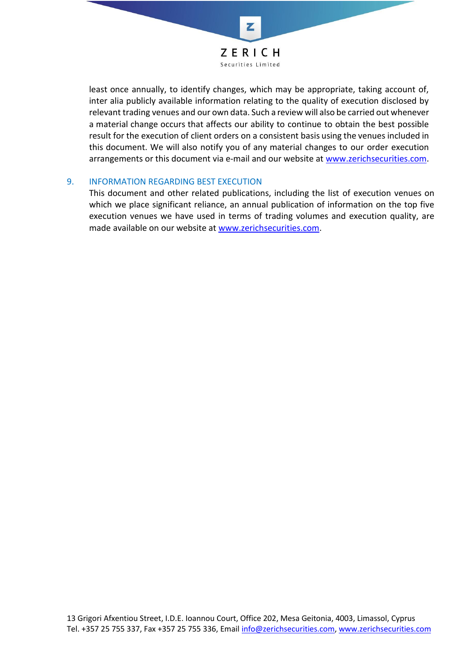

least once annually, to identify changes, which may be appropriate, taking account of, inter alia publicly available information relating to the quality of execution disclosed by relevant trading venues and our own data. Such a review will also be carried out whenever a material change occurs that affects our ability to continue to obtain the best possible result for the execution of client orders on a consistent basis using the venues included in this document. We will also notify you of any material changes to our order execution arrangements or this document via e-mail and our website at [www.zerichsecurities.com.](http://www.zerichsecurities.com/)

#### 9. INFORMATION REGARDING BEST EXECUTION

This document and other related publications, including the list of execution venues on which we place significant reliance, an annual publication of information on the top five execution venues we have used in terms of trading volumes and execution quality, are made available on our website at [www.zerichsecurities.com.](http://www.zerichsecurities.eu/)